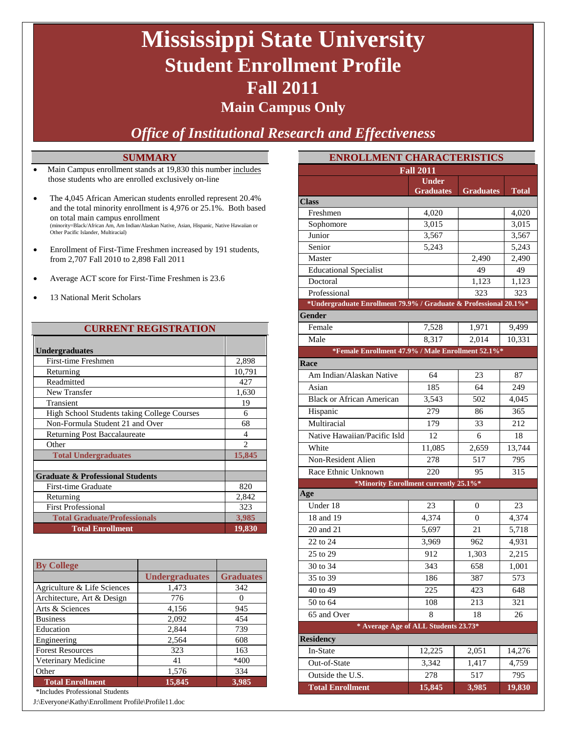# **Mississippi State University Student Enrollment Profile Fall 2011**

### **Main Campus Only**

### *Office of Institutional Research and Effectiveness*

#### **SUMMARY**

- Main Campus enrollment stands at 19,830 this number includes those students who are enrolled exclusively on-line
- The 4,045 African American students enrolled represent 20.4% and the total minority enrollment is 4,976 or 25.1%. Both based on total main campus enrollment (minority=Black/African Am, Am Indian/Alaskan Native, Asian, Hispanic, Native Hawaiian or Other Pacific Islander, Multiracial)
- Enrollment of First-Time Freshmen increased by 191 students, from 2,707 Fall 2010 to 2,898 Fall 2011
- Average ACT score for First-Time Freshmen is 23.6
- 13 National Merit Scholars

#### **CURRENT REGISTRATION**

| <b>Undergraduates</b>                       |                |
|---------------------------------------------|----------------|
| First-time Freshmen                         | 2,898          |
| Returning                                   | 10,791         |
| Readmitted                                  | 427            |
| New Transfer                                | 1,630          |
| Transient                                   | 19             |
| High School Students taking College Courses | 6              |
| Non-Formula Student 21 and Over             | 68             |
| <b>Returning Post Baccalaureate</b>         | $\overline{4}$ |
| Other                                       | $\mathfrak{D}$ |
| <b>Total Undergraduates</b>                 | 15,845         |
|                                             |                |
| <b>Graduate &amp; Professional Students</b> |                |
| First-time Graduate                         | 820            |
| Returning                                   | 2,842          |
| <b>First Professional</b>                   | 323            |
| <b>Total Graduate/Professionals</b>         | 3,985          |
| <b>Total Enrollment</b>                     | 19,830         |

| <b>By College</b>           |                       |                  |
|-----------------------------|-----------------------|------------------|
|                             | <b>Undergraduates</b> | <b>Graduates</b> |
| Agriculture & Life Sciences | 1,473                 | 342              |
| Architecture, Art & Design  | 776                   |                  |
| Arts & Sciences             | 4,156                 | 945              |
| <b>Business</b>             | 2,092                 | 454              |
| Education                   | 2,844                 | 739              |
| Engineering                 | 2,564                 | 608              |
| <b>Forest Resources</b>     | 323                   | 163              |
| Veterinary Medicine         | 41                    | $*400$           |
| Other                       | 1,576                 | 334              |
| <b>Total Enrollment</b>     | 15,845                | 3,985            |

\*Includes Professional Students

J:\Everyone\Kathy\Enrollment Profile\Profile11.doc

| <b>ENROLLMENT CHARACTERISTICS</b>                                                 |                                  |                  |              |  |  |
|-----------------------------------------------------------------------------------|----------------------------------|------------------|--------------|--|--|
|                                                                                   | <b>Fall 2011</b>                 |                  |              |  |  |
|                                                                                   | <b>Under</b><br><b>Graduates</b> | <b>Graduates</b> | <b>Total</b> |  |  |
| <b>Class</b>                                                                      |                                  |                  |              |  |  |
| Freshmen                                                                          | 4,020                            |                  | 4,020        |  |  |
| Sophomore                                                                         | 3,015                            |                  | 3,015        |  |  |
| Junior                                                                            | 3,567                            |                  | 3,567        |  |  |
| Senior                                                                            | 5,243                            |                  | 5,243        |  |  |
| Master                                                                            |                                  | 2,490            | 2,490        |  |  |
| <b>Educational Specialist</b>                                                     |                                  | 49               | 49           |  |  |
| Doctoral                                                                          |                                  | 1,123            | 1,123        |  |  |
| Professional                                                                      |                                  | 323              | 323          |  |  |
| *Undergraduate Enrollment 79.9% / Graduate & Professional 20.1%*<br><b>Gender</b> |                                  |                  |              |  |  |
| Female                                                                            |                                  |                  |              |  |  |
|                                                                                   | 7,528<br>8.317                   | 1,971            | 9,499        |  |  |
| Male<br>*Female Enrollment 47.9% / Male Enrollment 52.1%*                         |                                  | 2,014            | 10,331       |  |  |
|                                                                                   |                                  |                  |              |  |  |
| Race                                                                              |                                  |                  |              |  |  |
| Am Indian/Alaskan Native                                                          | 64                               | 23               | 87           |  |  |
| Asian                                                                             | 185                              | 64               | 249          |  |  |
| <b>Black or African American</b>                                                  | 3,543                            | 502              | 4,045        |  |  |
| Hispanic                                                                          | 279                              | 86               | 365          |  |  |
| Multiracial                                                                       | 179                              | 33               | 212          |  |  |
| Native Hawaiian/Pacific Isld                                                      | 12                               | 6                | 18           |  |  |
| White                                                                             | 11,085                           | 2,659            | 13,744       |  |  |
| Non-Resident Alien                                                                | 278                              | 517              | 795          |  |  |
| Race Ethnic Unknown                                                               | 220                              | 95               | 315          |  |  |
| *Minority Enrollment currently 25.1%*                                             |                                  |                  |              |  |  |
| Age                                                                               |                                  |                  |              |  |  |
| Under 18                                                                          | 23                               | $\Omega$         | 23           |  |  |
| 18 and 19                                                                         | 4,374                            | $\mathbf{0}$     | 4,374        |  |  |
| 20 and $21$                                                                       | 5,697                            | 21               | 5,718        |  |  |
| 22 to 24                                                                          | 3,969                            | 962              | 4,931        |  |  |
| 25 to 29                                                                          | 912                              | 1,303            | 2,215        |  |  |
| 30 to 34                                                                          | 343                              | 658              | 1,001        |  |  |
| 35 to 39                                                                          | 186                              | 387              | 573          |  |  |
| 40 to 49                                                                          | 225                              | 423              | 648          |  |  |
| 50 to 64                                                                          | 108                              | 213              | 321          |  |  |
| 65 and Over                                                                       | 8                                | 18               | 26           |  |  |
| * Average Age of ALL Students 23.73*                                              |                                  |                  |              |  |  |
| <b>Residency</b>                                                                  |                                  |                  |              |  |  |
| In-State                                                                          | 12,225                           | 2,051            | 14,276       |  |  |
| Out-of-State                                                                      | 3,342                            | 1,417            | 4,759        |  |  |
| Outside the U.S.                                                                  | 278                              | 517              | 795          |  |  |
| <b>Total Enrollment</b>                                                           | 15,845                           | 3,985            | 19,830       |  |  |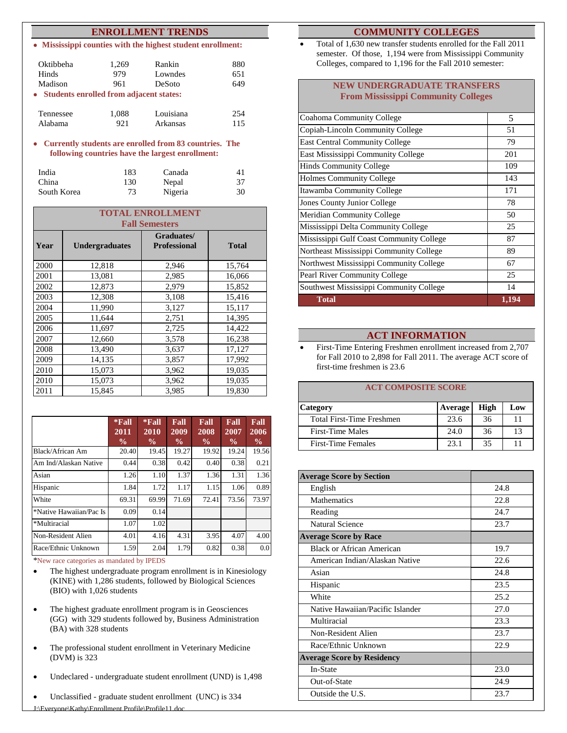#### **ENROLLMENT TRENDS**

• **Mississippi counties with the highest student enrollment:**

| Oktibbeha<br><b>Hinds</b>                            | 1,269<br>979<br>961 | Rankin<br>Lowndes | 880<br>651<br>649 |
|------------------------------------------------------|---------------------|-------------------|-------------------|
| Madison<br>• Students enrolled from adjacent states: |                     | DeSoto            |                   |
| Tennessee                                            | 1,088               | Louisiana         | 254               |
| Alabama                                              | 921                 | Arkansas          | 115               |

• **Currently students are enrolled from 83 countries. The following countries have the largest enrollment:**

| India       | 183 | Canada  | 41 |
|-------------|-----|---------|----|
| China       | 130 | Nepal   | 37 |
| South Korea | 73  | Nigeria | 30 |

|      | <b>TOTAL ENROLLMENT</b> |                                   |              |  |  |  |
|------|-------------------------|-----------------------------------|--------------|--|--|--|
|      |                         | <b>Fall Semesters</b>             |              |  |  |  |
| Year | <b>Undergraduates</b>   | Graduates/<br><b>Professional</b> | <b>Total</b> |  |  |  |
| 2000 | 12,818                  | 2,946                             | 15,764       |  |  |  |
| 2001 | 13,081                  | 2,985                             | 16,066       |  |  |  |
| 2002 | 12,873                  | 2,979                             | 15,852       |  |  |  |
| 2003 | 12,308                  | 3,108                             | 15,416       |  |  |  |
| 2004 | 11,990                  | 3,127                             | 15,117       |  |  |  |
| 2005 | 11,644                  | 2,751                             | 14,395       |  |  |  |
| 2006 | 11,697                  | 2,725                             | 14,422       |  |  |  |
| 2007 | 12,660                  | 3,578                             | 16,238       |  |  |  |
| 2008 | 13,490                  | 3,637                             | 17,127       |  |  |  |
| 2009 | 14,135                  | 3,857                             | 17,992       |  |  |  |
| 2010 | 15,073                  | 3,962                             | 19,035       |  |  |  |
| 2010 | 15,073                  | 3,962                             | 19,035       |  |  |  |
| 2011 | 15,845                  | 3,985                             | 19,830       |  |  |  |

|                         | $*$ Fall<br>$20\overline{11}$<br>$\frac{0}{0}$ | $*$ Fall<br>2010<br>$\frac{0}{0}$ | Fall<br>2009<br>$\frac{0}{0}$ | Fall<br>2008<br>$\frac{0}{0}$ | Fall<br>2007<br>$\frac{0}{0}$ | Fall<br>2006<br>$\frac{0}{0}$ |
|-------------------------|------------------------------------------------|-----------------------------------|-------------------------------|-------------------------------|-------------------------------|-------------------------------|
| Black/African Am        | 20.40                                          | 19.45                             | 19.27                         | 19.92                         | 19.24                         | 19.56                         |
| Am Ind/Alaskan Native   | 0.44                                           | 0.38                              | 0.42                          | 0.40                          | 0.38                          | 0.21                          |
| Asian                   | 1.26                                           | 1.10                              | 1.37                          | 1.36                          | 1.31                          | 1.36                          |
| Hispanic                | 1.84                                           | 1.72                              | 1.17                          | 1.15                          | 1.06                          | 0.89                          |
| White                   | 69.31                                          | 69.99                             | 71.69                         | 72.41                         | 73.56                         | 73.97                         |
| *Native Hawaiian/Pac Is | 0.09                                           | 0.14                              |                               |                               |                               |                               |
| *Multiracial            | 1.07                                           | 1.02                              |                               |                               |                               |                               |
| Non-Resident Alien      | 4.01                                           | 4.16                              | 4.31                          | 3.95                          | 4.07                          | 4.00                          |
| Race/Ethnic Unknown     | 1.59                                           | 2.04                              | 1.79                          | 0.82                          | 0.38                          | 0.0                           |

\*New race categories as mandated by IPEDS

- The highest undergraduate program enrollment is in Kinesiology (KINE) with 1,286 students, followed by Biological Sciences (BIO) with 1,026 students
- The highest graduate enrollment program is in Geosciences (GG) with 329 students followed by, Business Administration (BA) with 328 students
- The professional student enrollment in Veterinary Medicine (DVM) is 323
- Undeclared undergraduate student enrollment (UND) is 1,498
- Unclassified graduate student enrollment (UNC) is 334

#### **COMMUNITY COLLEGES**

• Total of 1,630 new transfer students enrolled for the Fall 2011 semester. Of those, 1,194 were from Mississippi Community Colleges, compared to 1,196 for the Fall 2010 semester:

#### **NEW UNDERGRADUATE TRANSFERS From Mississippi Community Colleges**

| Coahoma Community College                | 5     |
|------------------------------------------|-------|
| Copiah-Lincoln Community College         | 51    |
| <b>East Central Community College</b>    | 79    |
| East Mississippi Community College       | 201   |
| <b>Hinds Community College</b>           | 109   |
| <b>Holmes Community College</b>          | 143   |
| Itawamba Community College               | 171   |
| Jones County Junior College              | 78    |
| Meridian Community College               | 50    |
| Mississippi Delta Community College      | 25    |
| Mississippi Gulf Coast Community College | 87    |
| Northeast Mississippi Community College  | 89    |
| Northwest Mississippi Community College  | 67    |
| Pearl River Community College            | 25    |
| Southwest Mississippi Community College  | 14    |
| Total                                    | 1,194 |

#### **ACT INFORMATION**

• First-Time Entering Freshmen enrollment increased from 2,707 for Fall 2010 to 2,898 for Fall 2011. The average ACT score of first-time freshmen is 23.6

#### **ACT COMPOSITE SCORE**

| <b>Category</b>           | Average | High | Low |
|---------------------------|---------|------|-----|
| Total First-Time Freshmen | 23.6    | 36   |     |
| First-Time Males          | 24.0    | 36   | 13  |
| <b>First-Time Females</b> | 23.1    | 35   |     |

| <b>Average Score by Section</b>   |      |
|-----------------------------------|------|
| English                           | 24.8 |
| <b>Mathematics</b>                | 22.8 |
| Reading                           | 24.7 |
| <b>Natural Science</b>            | 23.7 |
| <b>Average Score by Race</b>      |      |
| Black or African American         | 19.7 |
| American Indian/Alaskan Native    | 22.6 |
| Asian                             | 24.8 |
| Hispanic                          | 23.5 |
| White                             | 25.2 |
| Native Hawaiian/Pacific Islander  | 27.0 |
| Multiracial                       | 23.3 |
| Non-Resident Alien                | 23.7 |
| Race/Ethnic Unknown               | 22.9 |
| <b>Average Score by Residency</b> |      |
| In-State                          | 23.0 |
| Out-of-State                      | 24.9 |
| Outside the U.S.                  | 23.7 |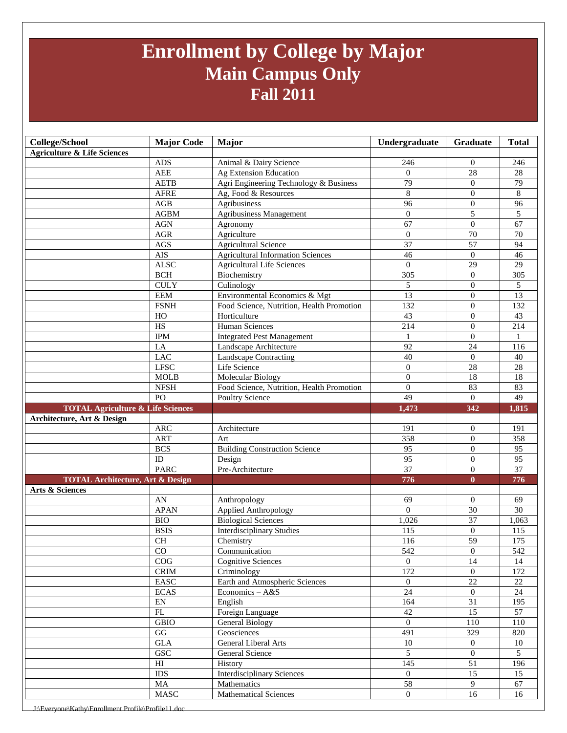## **Enrollment by College by Major Main Campus Only Fall 2011**

| <b>College/School</b>                                                      | <b>Major Code</b>          | Major                                     | Undergraduate    | Graduate              | <b>Total</b>    |
|----------------------------------------------------------------------------|----------------------------|-------------------------------------------|------------------|-----------------------|-----------------|
| <b>Agriculture &amp; Life Sciences</b>                                     |                            |                                           |                  |                       |                 |
|                                                                            | <b>ADS</b>                 | Animal & Dairy Science                    | 246              | $\overline{0}$        | 246             |
|                                                                            | <b>AEE</b>                 | Ag Extension Education                    | $\Omega$         | $\overline{28}$       | 28              |
|                                                                            | <b>AETB</b>                | Agri Engineering Technology & Business    | $\overline{79}$  | $\overline{0}$        | 79              |
|                                                                            | <b>AFRE</b>                | Ag, Food & Resources                      | 8                | $\overline{0}$        | $8\,$           |
|                                                                            | AGB                        | Agribusiness                              | 96               | $\boldsymbol{0}$      | 96              |
|                                                                            | <b>AGBM</b>                | Agribusiness Management                   | $\mathbf{0}$     | 5                     | 5               |
|                                                                            | <b>AGN</b>                 | Agronomy                                  | 67               | $\overline{0}$        | 67              |
|                                                                            | $\rm{AGR}$                 | Agriculture                               | $\mathbf{0}$     | $\overline{70}$       | $\overline{70}$ |
|                                                                            | <b>AGS</b>                 | <b>Agricultural Science</b>               | $\overline{37}$  | $\overline{57}$       | 94              |
|                                                                            | <b>AIS</b>                 | <b>Agricultural Information Sciences</b>  | 46               | $\overline{0}$        | 46              |
|                                                                            | <b>ALSC</b>                | Agricultural Life Sciences                | $\mathbf{0}$     | 29                    | 29              |
|                                                                            | <b>BCH</b>                 | Biochemistry                              | 305              | $\mathbf{0}$          | 305             |
|                                                                            | <b>CULY</b>                | Culinology                                | 5                | $\overline{0}$        | 5               |
|                                                                            | EEM                        | Environmental Economics & Mgt             | 13               | $\overline{0}$        | $\overline{13}$ |
|                                                                            | <b>FSNH</b>                | Food Science, Nutrition, Health Promotion | 132              | $\theta$              | 132             |
|                                                                            | HO                         | Horticulture                              | 43               | $\overline{0}$        | 43              |
|                                                                            | HS                         | Human Sciences                            | 214              | $\overline{0}$        | 214             |
|                                                                            | <b>IPM</b>                 | <b>Integrated Pest Management</b>         | $\mathbf{1}$     | $\mathbf{0}$          | 1               |
|                                                                            | LA                         | Landscape Architecture                    | 92               | $\overline{24}$       | 116             |
|                                                                            | LAC                        | Landscape Contracting                     | 40               | $\overline{0}$        | 40              |
|                                                                            | <b>LFSC</b>                | Life Science                              | $\mathbf{0}$     | 28                    | 28              |
|                                                                            | <b>MOLB</b>                | Molecular Biology                         | $\mathbf{0}$     | 18                    | 18              |
|                                                                            | <b>NFSH</b>                | Food Science, Nutrition, Health Promotion | $\Omega$         | 83                    | 83              |
|                                                                            | PO                         | <b>Poultry Science</b>                    | 49<br>1,473      | $\overline{0}$<br>342 | 49<br>1,815     |
| <b>TOTAL Agriculture &amp; Life Sciences</b><br>Architecture, Art & Design |                            |                                           |                  |                       |                 |
|                                                                            | <b>ARC</b>                 | Architecture                              | 191              | $\overline{0}$        | 191             |
|                                                                            | <b>ART</b>                 | Art                                       | 358              | $\overline{0}$        | 358             |
|                                                                            | <b>BCS</b>                 | <b>Building Construction Science</b>      | 95               | $\overline{0}$        | 95              |
|                                                                            | ID                         | Design                                    | 95               | $\boldsymbol{0}$      | 95              |
|                                                                            | <b>PARC</b>                | Pre-Architecture                          | 37               | $\overline{0}$        | 37              |
| <b>TOTAL Architecture, Art &amp; Design</b>                                |                            |                                           | 776              | $\bf{0}$              | 776             |
| <b>Arts &amp; Sciences</b>                                                 |                            |                                           |                  |                       |                 |
|                                                                            | AN                         | Anthropology                              | 69               | $\overline{0}$        | 69              |
|                                                                            | <b>APAN</b>                | Applied Anthropology                      | $\Omega$         | 30                    | 30              |
|                                                                            | <b>BIO</b>                 | <b>Biological Sciences</b>                | 1,026            | 37                    | 1,063           |
|                                                                            | <b>BSIS</b>                | <b>Interdisciplinary Studies</b>          | 115              | $\overline{0}$        | 115             |
|                                                                            | <b>CH</b>                  | Chemistry                                 | 116              | $\overline{59}$       | 175             |
|                                                                            | $\overline{C}O$            | Communication                             | 542              | $\overline{0}$        | 542             |
|                                                                            | COG                        | <b>Cognitive Sciences</b>                 | $\Omega$         | 14                    | 14              |
|                                                                            | <b>CRIM</b>                | Criminology                               | 172              | $\overline{0}$        | 172             |
|                                                                            | EASC                       | Earth and Atmospheric Sciences            | $\overline{0}$   | 22                    | 22              |
|                                                                            | <b>ECAS</b>                | Economics - A&S                           | 24               | $\overline{0}$        | 24              |
|                                                                            | $\mathop{\rm EN}\nolimits$ | English                                   | 164              | 31                    | 195             |
|                                                                            | $\mathbf{FL}$              | Foreign Language                          | 42               | $\overline{15}$       | 57              |
|                                                                            | <b>GBIO</b>                | General Biology                           | $\overline{0}$   | 110                   | 110             |
|                                                                            | G                          | Geosciences                               | 491              | 329                   | 820             |
|                                                                            | <b>GLA</b>                 | <b>General Liberal Arts</b>               | 10               | $\overline{0}$        | 10              |
|                                                                            | GSC                        | General Science                           | 5                | $\overline{0}$        | 5 <sup>5</sup>  |
|                                                                            | H                          | History                                   | 145              | 51                    | 196             |
|                                                                            | $\rm{IDS}$                 | <b>Interdisciplinary Sciences</b>         | $\overline{0}$   | 15                    | 15              |
|                                                                            | MA                         | Mathematics                               | 58               | $\overline{9}$        | 67              |
|                                                                            | $MAS\overline{C}$          | <b>Mathematical Sciences</b>              | $\boldsymbol{0}$ | 16                    | 16              |

J:\Everyone\Kathy\Enrollment Profile\Profile11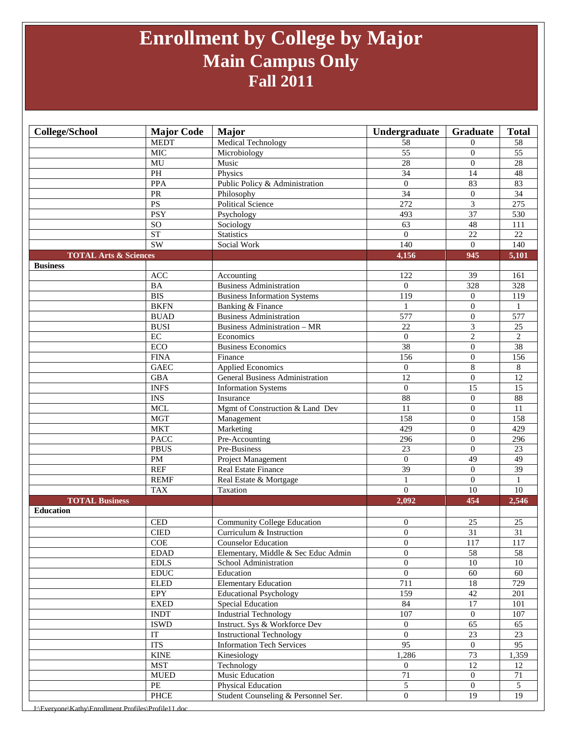## **Enrollment by College by Major Main Campus Only Fall 2011**

| <b>College/School</b>            | <b>Major Code</b>           | Major                                  | Undergraduate    | Graduate         | <b>Total</b>    |
|----------------------------------|-----------------------------|----------------------------------------|------------------|------------------|-----------------|
|                                  | <b>MEDT</b>                 | Medical Technology                     | 58               | $\Omega$         | 58              |
|                                  | <b>MIC</b>                  | Microbiology                           | 55               | $\mathbf{0}$     | 55              |
|                                  | MU                          | Music                                  | 28               | $\mathbf{0}$     | $\overline{28}$ |
|                                  | PH                          | Physics                                | 34               | 14               | 48              |
|                                  | <b>PPA</b>                  | Public Policy & Administration         | $\boldsymbol{0}$ | 83               | 83              |
|                                  | PR                          | Philosophy                             | 34               | $\overline{0}$   | $\overline{34}$ |
|                                  | $\overline{PS}$             | <b>Political Science</b>               | $\overline{272}$ | 3                | 275             |
|                                  | <b>PSY</b>                  | Psychology                             | 493              | $\overline{37}$  | 530             |
|                                  | $\rm SO$                    | Sociology                              | 63               | 48               | 111             |
|                                  | ST                          | <b>Statistics</b>                      | $\overline{0}$   | $\overline{22}$  | $\overline{22}$ |
|                                  | $\overline{\text{SW}}$      | Social Work                            | 140              | $\overline{0}$   | 140             |
| <b>TOTAL Arts &amp; Sciences</b> |                             |                                        | 4,156            | 945              | 5,101           |
| <b>Business</b>                  |                             |                                        |                  |                  |                 |
|                                  | ACC                         | Accounting                             | 122              | 39               | 161             |
|                                  | BA                          | <b>Business Administration</b>         | $\overline{0}$   | 328              | 328             |
|                                  | <b>BIS</b>                  | <b>Business Information Systems</b>    | 119              | $\mathbf{0}$     | 119             |
|                                  | <b>BKFN</b>                 | Banking & Finance                      | $\mathbf{1}$     | $\overline{0}$   | $\mathbf{1}$    |
|                                  | <b>BUAD</b>                 | <b>Business Administration</b>         | 577              | $\mathbf{0}$     | 577             |
|                                  | <b>BUSI</b>                 | <b>Business Administration - MR</b>    | $\overline{22}$  | 3                | $\overline{25}$ |
|                                  | $\rm EC$                    | Economics                              | $\overline{0}$   | $\overline{c}$   | $\mathfrak{2}$  |
|                                  | ECO                         | <b>Business Economics</b>              | 38               | $\mathbf{0}$     | 38              |
|                                  | <b>FINA</b>                 | Finance                                | 156              | $\mathbf{0}$     | 156             |
|                                  | <b>GAEC</b>                 | <b>Applied Economics</b>               | $\boldsymbol{0}$ | $\,8\,$          | 8               |
|                                  | <b>GBA</b>                  | <b>General Business Administration</b> | $\overline{12}$  | $\boldsymbol{0}$ | $\overline{12}$ |
|                                  | <b>INFS</b>                 | <b>Information Systems</b>             | $\overline{0}$   | $\overline{15}$  | 15              |
|                                  | <b>INS</b>                  | Insurance                              | 88               | $\mathbf{0}$     | $88\,$          |
|                                  | <b>MCL</b>                  | Mgmt of Construction & Land Dev        | 11               | $\mathbf{0}$     | 11              |
|                                  | <b>MGT</b>                  | Management                             | 158              | $\mathbf{0}$     | 158             |
|                                  | <b>MKT</b>                  | Marketing                              | 429              | $\boldsymbol{0}$ | 429             |
|                                  | <b>PACC</b>                 | Pre-Accounting                         | $\frac{296}{ }$  | $\mathbf{0}$     | 296             |
|                                  | <b>PBUS</b>                 | Pre-Business                           | 23               | $\theta$         | 23              |
|                                  | <b>PM</b>                   | <b>Project Management</b>              | $\overline{0}$   | 49               | $\overline{49}$ |
|                                  | <b>REF</b>                  | Real Estate Finance                    | 39               | $\mathbf{0}$     | 39              |
|                                  | <b>REMF</b>                 | Real Estate & Mortgage                 | 1                | $\overline{0}$   | 1               |
|                                  | <b>TAX</b>                  | Taxation                               | $\overline{0}$   | $10\,$           | 10              |
| <b>TOTAL Business</b>            |                             |                                        | 2,092            | 454              | 2,546           |
| <b>Education</b>                 |                             |                                        |                  |                  |                 |
|                                  | $\ensuremath{\mathsf{CED}}$ | <b>Community College Education</b>     | $\boldsymbol{0}$ | 25               | 25              |
|                                  | <b>CIED</b>                 | Curriculum & Instruction               | $\overline{0}$   | $\overline{31}$  | $\overline{31}$ |
|                                  | $\rm COE$                   | <b>Counselor Education</b>             | $\boldsymbol{0}$ | 117              | 117             |
|                                  | <b>EDAD</b>                 | Elementary, Middle & Sec Educ Admin    | $\Omega$         | 58               | 58              |
|                                  | <b>EDLS</b>                 | School Administration                  | $\overline{0}$   | 10               | 10              |
|                                  | <b>EDUC</b>                 | Education                              | $\boldsymbol{0}$ | 60               | 60              |
|                                  | <b>ELED</b>                 | <b>Elementary Education</b>            | $\overline{711}$ | 18               | 729             |
|                                  | EPY                         | <b>Educational Psychology</b>          | 159              | 42               | 201             |
|                                  | <b>EXED</b>                 | <b>Special Education</b>               | 84               | $\overline{17}$  | 101             |
|                                  | <b>INDT</b>                 | <b>Industrial Technology</b>           | 107              | $\overline{0}$   | 107             |
|                                  | $\operatorname{ISWD}$       | Instruct. Sys & Workforce Dev          | $\overline{0}$   | 65               | 65              |
|                                  | IT                          | <b>Instructional Technology</b>        | $\boldsymbol{0}$ | $23\,$           | $23\,$          |
|                                  | <b>ITS</b>                  | <b>Information Tech Services</b>       | $\overline{95}$  | $\mathbf{0}$     | 95              |
|                                  | <b>KINE</b>                 | Kinesiology                            | 1,286            | 73               | 1,359           |
|                                  | <b>MST</b>                  | Technology                             | $\boldsymbol{0}$ | $12\,$           | 12              |
|                                  | <b>MUED</b>                 | Music Education                        | $71\,$           | $\overline{0}$   | $71\,$          |
|                                  | $\ensuremath{\mathsf{PE}}$  | Physical Education                     | 5                | $\overline{0}$   | 5               |
|                                  | PHCE                        | Student Counseling & Personnel Ser.    | $\boldsymbol{0}$ | 19               | 19              |

J:\Everyone\Kathy\Enrollment Profiles\Profile11.doc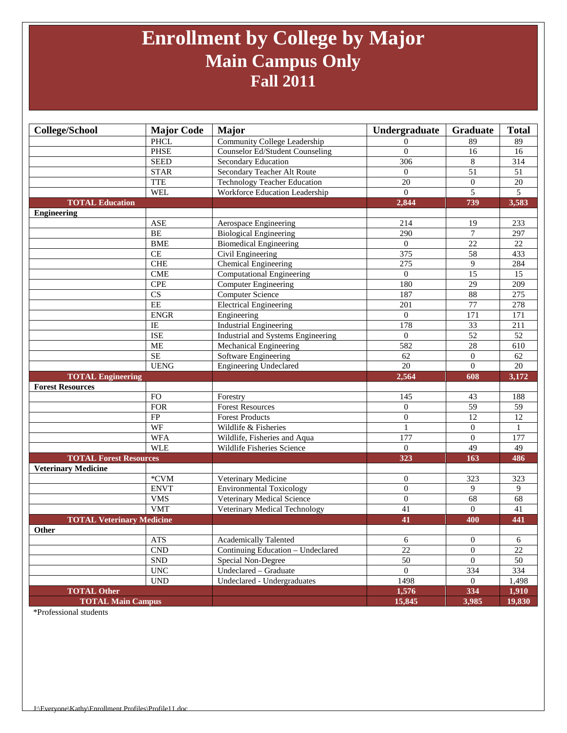## **Enrollment by College by Major Main Campus Only Fall 2011**

| <b>College/School</b>            | <b>Major Code</b>           | <b>Major</b>                                           | Undergraduate                      | Graduate         | <b>Total</b>     |
|----------------------------------|-----------------------------|--------------------------------------------------------|------------------------------------|------------------|------------------|
|                                  | <b>PHCL</b>                 | Community College Leadership                           | $\Omega$                           | 89               | 89               |
|                                  | <b>PHSE</b>                 | <b>Counselor Ed/Student Counseling</b>                 | $\theta$                           | 16               | 16               |
|                                  | <b>SEED</b>                 | Secondary Education                                    | 306                                | $\,8\,$          | $\overline{314}$ |
|                                  | <b>STAR</b>                 | Secondary Teacher Alt Route                            | $\overline{0}$                     | 51               | 51               |
|                                  | <b>TTE</b>                  | <b>Technology Teacher Education</b>                    | 20                                 | $\boldsymbol{0}$ | 20               |
|                                  | <b>WEL</b>                  | Workforce Education Leadership                         | $\mathbf{0}$                       | 5                | $\mathfrak{S}$   |
| <b>TOTAL Education</b>           |                             |                                                        | 2,844                              | 739              | 3,583            |
| <b>Engineering</b>               |                             |                                                        |                                    |                  |                  |
|                                  | <b>ASE</b>                  | Aerospace Engineering                                  | 214                                | 19               | 233              |
|                                  | <b>BE</b>                   | <b>Biological Engineering</b>                          | 290                                | $\overline{7}$   | 297              |
|                                  | <b>BME</b>                  | <b>Biomedical Engineering</b>                          | $\mathbf{0}$                       | 22               | 22               |
|                                  | CE                          | Civil Engineering                                      | 375                                | 58               | 433              |
|                                  | <b>CHE</b>                  | Chemical Engineering                                   | 275                                | 9                | 284              |
|                                  | <b>CME</b>                  | <b>Computational Engineering</b>                       | $\overline{0}$                     | $\overline{15}$  | $\overline{15}$  |
|                                  | <b>CPE</b>                  | <b>Computer Engineering</b>                            | 180                                | 29               | 209              |
|                                  | CS                          | <b>Computer Science</b>                                | 187                                | 88               | 275              |
|                                  | EE                          | <b>Electrical Engineering</b>                          | 201                                | $77 \,$          | 278              |
|                                  | <b>ENGR</b>                 | Engineering                                            | $\overline{0}$                     | 171              | 171              |
|                                  | IE                          | Industrial Engineering                                 | 178                                | 33               | 211              |
|                                  | <b>ISE</b>                  | Industrial and Systems Engineering                     | $\overline{0}$                     | 52               | 52               |
|                                  | <b>ME</b>                   | Mechanical Engineering                                 | 582                                | $\overline{28}$  | 610              |
|                                  | SE                          | Software Engineering                                   | $\overline{62}$                    | $\overline{0}$   | 62               |
|                                  | <b>UENG</b>                 | <b>Engineering Undeclared</b>                          | 20                                 | $\mathbf{0}$     | 20               |
| <b>TOTAL Engineering</b>         |                             |                                                        | 2,564                              | 608              | 3,172            |
| <b>Forest Resources</b>          |                             |                                                        |                                    |                  |                  |
|                                  | <b>FO</b>                   | Forestry                                               | 145                                | 43               | 188              |
|                                  | <b>FOR</b>                  | <b>Forest Resources</b>                                | $\overline{0}$                     | 59               | 59               |
|                                  | <b>FP</b>                   | <b>Forest Products</b>                                 | $\overline{0}$                     | $\overline{12}$  | $\overline{12}$  |
|                                  | WF                          | Wildlife & Fisheries                                   | $\mathbf{1}$                       | $\overline{0}$   | $\mathbf{1}$     |
|                                  | <b>WFA</b>                  | Wildlife, Fisheries and Aqua                           | 177                                | $\overline{0}$   | 177              |
|                                  | <b>WLE</b>                  | Wildlife Fisheries Science                             | $\mathbf{0}$                       | 49               | 49               |
| <b>TOTAL Forest Resources</b>    |                             |                                                        | 323                                | 163              | 486              |
| <b>Veterinary Medicine</b>       | *CVM                        |                                                        |                                    |                  |                  |
|                                  | <b>ENVT</b>                 | Veterinary Medicine<br><b>Environmental Toxicology</b> | $\boldsymbol{0}$<br>$\overline{0}$ | 323<br>9         | 323<br>9         |
|                                  | <b>VMS</b>                  | Veterinary Medical Science                             | $\boldsymbol{0}$                   | 68               | 68               |
|                                  | <b>VMT</b>                  | Veterinary Medical Technology                          | 41                                 | $\mathbf{0}$     | 41               |
| <b>TOTAL Veterinary Medicine</b> |                             |                                                        | 41                                 | 400              | 441              |
| Other                            |                             |                                                        |                                    |                  |                  |
|                                  | ATS                         | <b>Academically Talented</b>                           | 6                                  | $\boldsymbol{0}$ | 6                |
|                                  | $\mathop{\mathrm{CND}}$     | Continuing Education - Undeclared                      | 22                                 | $\overline{0}$   | 22               |
|                                  | ${\rm SND}$                 | Special Non-Degree                                     | 50                                 | $\overline{0}$   | 50               |
|                                  | $\ensuremath{\text{UNC}}$   | Undeclared - Graduate                                  | $\overline{0}$                     | 334              | 334              |
|                                  | $\ensuremath{\mathrm{UND}}$ | Undeclared - Undergraduates                            | 1498                               | $\overline{0}$   | 1,498            |
| <b>TOTAL Other</b>               |                             |                                                        | 1,576                              | 334              | 1,910            |
| <b>TOTAL Main Campus</b>         |                             |                                                        | 15,845                             | 3,985            | 19,830           |
|                                  |                             |                                                        |                                    |                  |                  |

\*Professional students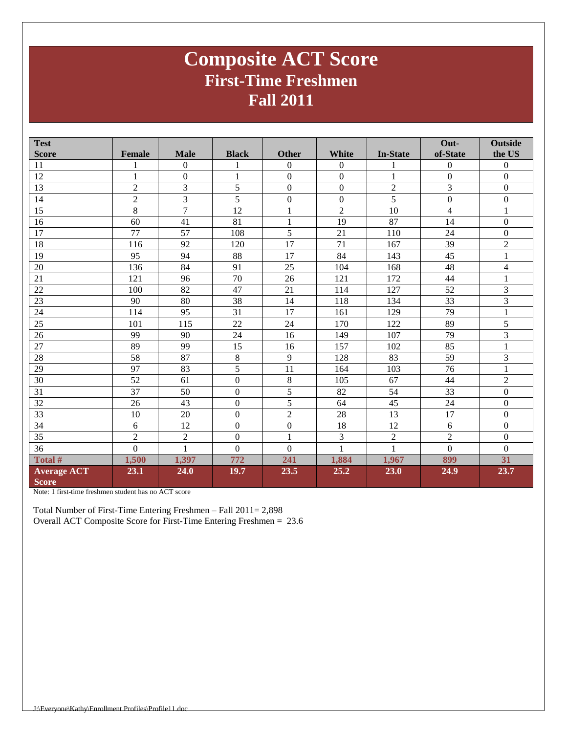### **Composite ACT Score First-Time Freshmen Fall 2011**

| <b>Test</b>                        |                |                |                  |                |                  |                  | Out-             | Outside          |
|------------------------------------|----------------|----------------|------------------|----------------|------------------|------------------|------------------|------------------|
| <b>Score</b>                       | <b>Female</b>  | <b>Male</b>    | <b>Black</b>     | <b>Other</b>   | White            | <b>In-State</b>  | of-State         | the US           |
| 11                                 | 1              | $\mathbf{0}$   | $\mathbf{1}$     | $\mathbf{0}$   | $\boldsymbol{0}$ | 1                | $\boldsymbol{0}$ | $\boldsymbol{0}$ |
| 12                                 | 1              | $\overline{0}$ | $\mathbf{1}$     | $\overline{0}$ | $\overline{0}$   | $\mathbf{1}$     | $\overline{0}$   | $\overline{0}$   |
| 13                                 | $\overline{2}$ | 3              | 5                | $\mathbf{0}$   | $\boldsymbol{0}$ | $\overline{2}$   | $\overline{3}$   | $\mathbf{0}$     |
| 14                                 | $\overline{2}$ | $\overline{3}$ | 5                | $\overline{0}$ | $\overline{0}$   | $\overline{5}$   | $\overline{0}$   | $\overline{0}$   |
| 15                                 | 8              | $\overline{7}$ | 12               | $\mathbf{1}$   | $\overline{2}$   | 10               | $\overline{4}$   | $\mathbf{1}$     |
| 16                                 | 60             | 41             | 81               | $\mathbf{1}$   | 19               | 87               | 14               | $\mathbf{0}$     |
| 17                                 | 77             | 57             | 108              | 5              | 21               | 110              | 24               | $\mathbf{0}$     |
| 18                                 | 116            | 92             | 120              | 17             | 71               | 167              | 39               | $\mathbf{2}$     |
| 19                                 | 95             | 94             | 88               | 17             | 84               | 143              | 45               | $\mathbf{1}$     |
| 20                                 | 136            | 84             | 91               | 25             | 104              | 168              | 48               | $\overline{4}$   |
| 21                                 | 121            | 96             | 70               | 26             | 121              | 172              | 44               | $\mathbf{1}$     |
| 22                                 | 100            | 82             | 47               | 21             | 114              | 127              | 52               | 3                |
| 23                                 | 90             | 80             | 38               | 14             | 118              | 134              | 33               | 3                |
| 24                                 | 114            | 95             | 31               | 17             | 161              | 129              | 79               | $\mathbf{1}$     |
| 25                                 | 101            | 115            | 22               | 24             | 170              | 122              | 89               | 5                |
| 26                                 | 99             | 90             | 24               | 16             | 149              | 107              | 79               | 3                |
| 27                                 | 89             | 99             | 15               | 16             | 157              | 102              | 85               | $\mathbf{1}$     |
| 28                                 | 58             | 87             | 8                | 9              | 128              | 83               | 59               | 3                |
| 29                                 | 97             | 83             | 5                | 11             | 164              | 103              | 76               | $\mathbf{1}$     |
| 30                                 | 52             | 61             | $\boldsymbol{0}$ | $\,8\,$        | 105              | 67               | 44               | $\overline{2}$   |
| 31                                 | 37             | 50             | $\boldsymbol{0}$ | 5              | 82               | 54               | 33               | $\mathbf{0}$     |
| 32                                 | 26             | 43             | $\mathbf{0}$     | 5              | 64               | 45               | 24               | $\mathbf{0}$     |
| 33                                 | 10             | 20             | $\mathbf{0}$     | $\overline{2}$ | 28               | 13               | 17               | $\overline{0}$   |
| 34                                 | 6              | 12             | $\boldsymbol{0}$ | $\mathbf{0}$   | 18               | 12               | 6                | $\mathbf{0}$     |
| 35                                 | $\overline{2}$ | $\overline{2}$ | $\boldsymbol{0}$ | $\mathbf{1}$   | $\mathfrak{Z}$   | $\boldsymbol{2}$ | $\overline{2}$   | $\mathbf{0}$     |
| 36                                 | $\overline{0}$ | $\mathbf{1}$   | $\mathbf{0}$     | $\overline{0}$ | $\overline{1}$   | $\mathbf{1}$     | $\overline{0}$   | $\overline{0}$   |
| Total #                            | 1,500          | 1,397          | 772              | 241            | 1,884            | 1,967            | 899              | 31               |
| <b>Average ACT</b><br><b>Score</b> | 23.1           | 24.0           | <b>19.7</b>      | 23.5           | 25.2             | 23.0             | 24.9             | 23.7             |

Note: 1 first-time freshmen student has no ACT score

Total Number of First-Time Entering Freshmen – Fall 2011= 2,898 Overall ACT Composite Score for First-Time Entering Freshmen = 23.6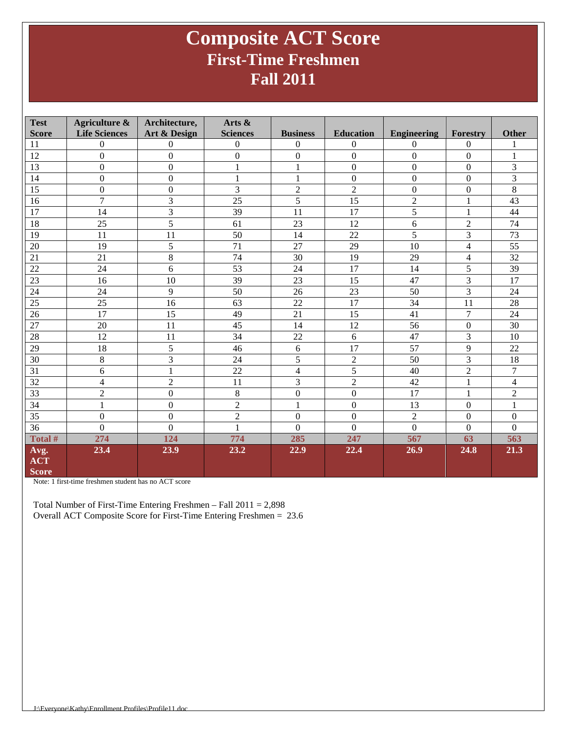### **Composite ACT Score First-Time Freshmen Fall 2011**

| <b>Test</b>                        | Agriculture &        | Architecture,    | Arts &           |                 |                  |                    |                          |                |
|------------------------------------|----------------------|------------------|------------------|-----------------|------------------|--------------------|--------------------------|----------------|
| <b>Score</b>                       | <b>Life Sciences</b> | Art & Design     | <b>Sciences</b>  | <b>Business</b> | <b>Education</b> | <b>Engineering</b> | Forestry                 | <b>Other</b>   |
| 11                                 | 0                    | $\overline{0}$   | $\boldsymbol{0}$ | $\theta$        | $\Omega$         | $\overline{0}$     | $\overline{0}$           |                |
| 12                                 | $\overline{0}$       | $\overline{0}$   | $\mathbf{0}$     | $\mathbf{0}$    | $\overline{0}$   | $\mathbf{0}$       | $\boldsymbol{0}$         | 1              |
| $\overline{13}$                    | $\overline{0}$       | $\overline{0}$   | $\mathbf{1}$     | $\mathbf{1}$    | $\overline{0}$   | $\overline{0}$     | $\overline{0}$           | $\overline{3}$ |
| 14                                 | $\Omega$             | $\Omega$         | 1                | 1               | $\boldsymbol{0}$ | $\mathbf{0}$       | $\boldsymbol{0}$         | $\overline{3}$ |
| 15                                 | $\overline{0}$       | $\overline{0}$   | 3                | $\overline{2}$  | $\overline{2}$   | $\boldsymbol{0}$   | $\boldsymbol{0}$         | 8              |
| 16                                 | $\overline{7}$       | $\overline{3}$   | $\overline{25}$  | 5               | $\overline{15}$  | $\overline{2}$     | $\mathbf{1}$             | 43             |
| 17                                 | 14                   | 3                | 39               | 11              | 17               | 5                  | 1                        | 44             |
| 18                                 | 25                   | 5                | 61               | 23              | 12               | 6                  | $\overline{2}$           | 74             |
| 19                                 | 11                   | 11               | 50               | 14              | 22               | $\overline{5}$     | 3                        | 73             |
| 20                                 | 19                   | 5                | 71               | 27              | 29               | 10                 | $\overline{\mathcal{L}}$ | 55             |
| 21                                 | 21                   | 8                | 74               | 30              | 19               | 29                 | 4                        | 32             |
| 22                                 | 24                   | 6                | 53               | 24              | 17               | 14                 | 5                        | 39             |
| 23                                 | 16                   | 10               | 39               | 23              | 15               | 47                 | 3                        | 17             |
| 24                                 | 24                   | 9                | 50               | 26              | 23               | 50                 | 3                        | 24             |
| 25                                 | 25                   | 16               | 63               | 22              | 17               | 34                 | 11                       | 28             |
| 26                                 | 17                   | 15               | 49               | 21              | 15               | 41                 | $\tau$                   | 24             |
| 27                                 | 20                   | 11               | 45               | 14              | 12               | 56                 | $\boldsymbol{0}$         | 30             |
| 28                                 | 12                   | 11               | 34               | 22              | 6                | 47                 | 3                        | 10             |
| 29                                 | 18                   | $\overline{5}$   | 46               | 6               | 17               | $\overline{57}$    | 9                        | 22             |
| 30                                 | 8                    | $\overline{3}$   | 24               | 5               | $\overline{2}$   | 50                 | 3                        | 18             |
| 31                                 | 6                    | 1                | 22               | $\overline{4}$  | 5                | 40                 | $\overline{2}$           | $\tau$         |
| $\overline{32}$                    | 4                    | $\overline{c}$   | 11               | 3               | $\overline{2}$   | 42                 | $\mathbf{1}$             | $\overline{4}$ |
| 33                                 | $\overline{c}$       | $\overline{0}$   | 8                | $\overline{0}$  | $\overline{0}$   | 17                 | 1                        | $\overline{2}$ |
| 34                                 | $\mathbf{1}$         | $\boldsymbol{0}$ | $\overline{2}$   | $\mathbf{1}$    | $\boldsymbol{0}$ | 13                 | $\mathbf{0}$             | 1              |
| $\overline{35}$                    | $\overline{0}$       | $\overline{0}$   | $\overline{2}$   | $\mathbf{0}$    | $\overline{0}$   | $\overline{2}$     | $\boldsymbol{0}$         | $\overline{0}$ |
| 36                                 | $\overline{0}$       | $\overline{0}$   | $\mathbf{1}$     | $\overline{0}$  | $\overline{0}$   | $\overline{0}$     | $\overline{0}$           | $\overline{0}$ |
| Total #                            | 274                  | 124              | 774              | 285             | 247              | 567                | 63                       | 563            |
| Avg.<br><b>ACT</b><br><b>Score</b> | 23.4                 | 23.9             | 23.2             | 22.9            | 22.4             | 26.9               | 24.8                     | 21.3           |

Note: 1 first-time freshmen student has no ACT score

Total Number of First-Time Entering Freshmen – Fall 2011 = 2,898 Overall ACT Composite Score for First-Time Entering Freshmen = 23.6